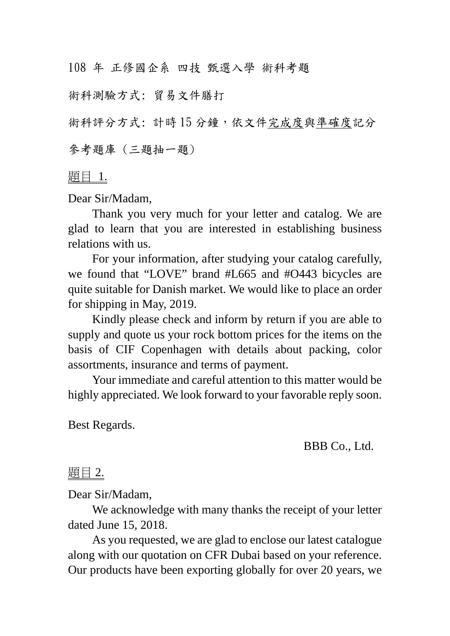108 年 正修國企系 四技 甄選入學 術科考題

術科測驗方式: 貿易文件膳打

術科評分方式: 計時15分鐘,依文件完成度與準確度記分

參考題庫 (三題抽一題)

題目 1.

Dear Sir/Madam,

Thank you very much for your letter and catalog. We are glad to learn that you are interested in establishing business relations with us.

For your information, after studying your catalog carefully, we found that "LOVE" brand #L665 and #O443 bicycles are quite suitable for Danish market. We would like to place an order for shipping in May, 2019.

Kindly please check and inform by return if you are able to supply and quote us your rock bottom prices for the items on the basis of CIF Copenhagen with details about packing, color assortments, insurance and terms of payment.

Your immediate and careful attention to this matter would be highly appreciated. We look forward to your favorable reply soon.

Best Regards.

BBB Co., Ltd.

題目 2.

Dear Sir/Madam,

We acknowledge with many thanks the receipt of your letter dated June 15, 2018.

As you requested, we are glad to enclose our latest catalogue along with our quotation on CFR Dubai based on your reference. Our products have been exporting globally for over 20 years, we